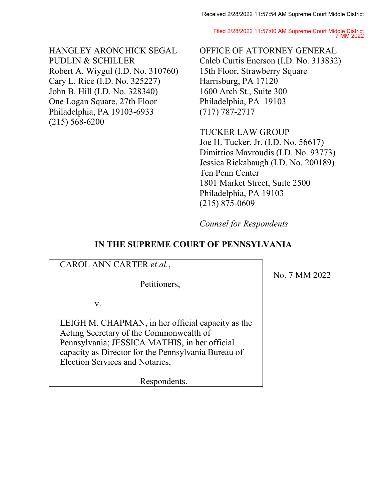Filed 2/28/2022 11:57:00 AM Supreme Court Middle District 7 MM 2022

HANGLEY ARONCHICK SEGAL PUDLIN & SCHILLER Robert A. Wiygul (I.D. No. 310760) Cary L. Rice (I.D. No. 325227) John B. Hill (I.D. No. 328340) One Logan Square, 27th Floor Philadelphia, PA 19103-6933 (215) 568-6200

OFFICE OF ATTORNEY GENERAL Caleb Curtis Enerson (I.D. No. 313832) 15th Floor, Strawberry Square Harrisburg, PA 17120 1600 Arch St., Suite 300 Philadelphia, PA 19103 (717) 787-2717

TUCKER LAW GROUP Joe H. Tucker, Jr. (I.D. No. 56617) Dimitrios Mavroudis (I.D. No. 93773) Jessica Rickabaugh (I.D. No. 200189) Ten Penn Center 1801 Market Street, Suite 2500 Philadelphia, PA 19103 (215) 875-0609

*Counsel for Respondents*

## **IN THE SUPREME COURT OF PENNSYLVANIA**

CAROL ANN CARTER *et al.*,

Petitioners,

v.

LEIGH M. CHAPMAN, in her official capacity as the Acting Secretary of the Commonwealth of Pennsylvania; JESSICA MATHIS, in her official capacity as Director for the Pennsylvania Bureau of Election Services and Notaries,

Respondents.

No. 7 MM 2022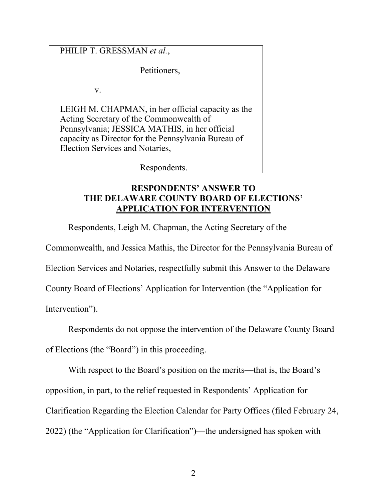PHILIP T. GRESSMAN *et al.*,

Petitioners,

v.

LEIGH M. CHAPMAN, in her official capacity as the Acting Secretary of the Commonwealth of Pennsylvania; JESSICA MATHIS, in her official capacity as Director for the Pennsylvania Bureau of Election Services and Notaries,

Respondents.

#### **RESPONDENTS' ANSWER TO THE DELAWARE COUNTY BOARD OF ELECTIONS' APPLICATION FOR INTERVENTION**

Respondents, Leigh M. Chapman, the Acting Secretary of the

Commonwealth, and Jessica Mathis, the Director for the Pennsylvania Bureau of

Election Services and Notaries, respectfully submit this Answer to the Delaware

County Board of Elections' Application for Intervention (the "Application for

Intervention").

Respondents do not oppose the intervention of the Delaware County Board

of Elections (the "Board") in this proceeding.

With respect to the Board's position on the merits—that is, the Board's opposition, in part, to the relief requested in Respondents' Application for Clarification Regarding the Election Calendar for Party Offices (filed February 24, 2022) (the "Application for Clarification")—the undersigned has spoken with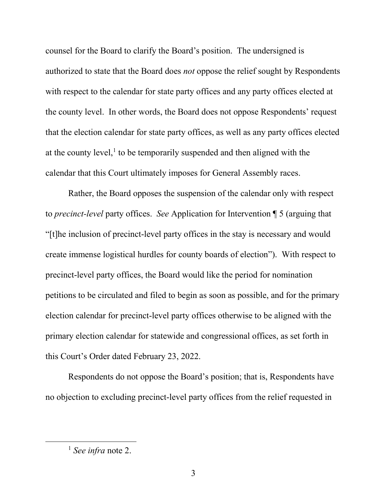counsel for the Board to clarify the Board's position. The undersigned is authorized to state that the Board does *not* oppose the relief sought by Respondents with respect to the calendar for state party offices and any party offices elected at the county level. In other words, the Board does not oppose Respondents' request that the election calendar for state party offices, as well as any party offices elected at the county level, [1](#page-2-0) to be temporarily suspended and then aligned with the calendar that this Court ultimately imposes for General Assembly races.

Rather, the Board opposes the suspension of the calendar only with respect to *precinct-level* party offices. *See* Application for Intervention ¶ 5 (arguing that "[t]he inclusion of precinct-level party offices in the stay is necessary and would create immense logistical hurdles for county boards of election"). With respect to precinct-level party offices, the Board would like the period for nomination petitions to be circulated and filed to begin as soon as possible, and for the primary election calendar for precinct-level party offices otherwise to be aligned with the primary election calendar for statewide and congressional offices, as set forth in this Court's Order dated February 23, 2022.

Respondents do not oppose the Board's position; that is, Respondents have no objection to excluding precinct-level party offices from the relief requested in

<span id="page-2-0"></span> <sup>1</sup> *See infra* note 2.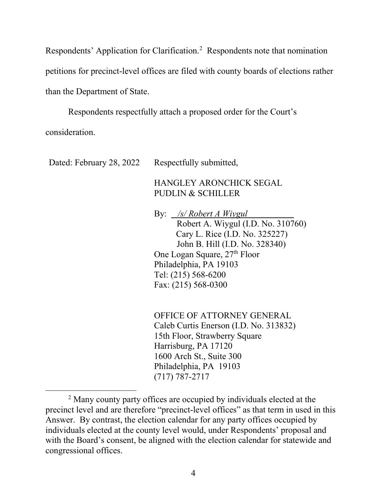Respondents' Application for Clarification.<sup>[2](#page-3-0)</sup> Respondents note that nomination petitions for precinct-level offices are filed with county boards of elections rather than the Department of State.

Respondents respectfully attach a proposed order for the Court's consideration.

Dated: February 28, 2022 Respectfully submitted,

#### HANGLEY ARONCHICK SEGAL PUDLIN & SCHILLER

By: */s/ Robert A Wiygul* Robert A. Wiygul (I.D. No. 310760) Cary L. Rice (I.D. No. 325227) John B. Hill (I.D. No. 328340) One Logan Square, 27<sup>th</sup> Floor Philadelphia, PA 19103 Tel: (215) 568-6200 Fax: (215) 568-0300

OFFICE OF ATTORNEY GENERAL Caleb Curtis Enerson (I.D. No. 313832) 15th Floor, Strawberry Square Harrisburg, PA 17120 1600 Arch St., Suite 300 Philadelphia, PA 19103 (717) 787-2717

<span id="page-3-0"></span><sup>&</sup>lt;sup>2</sup> Many county party offices are occupied by individuals elected at the precinct level and are therefore "precinct-level offices" as that term in used in this Answer. By contrast, the election calendar for any party offices occupied by individuals elected at the county level would, under Respondents' proposal and with the Board's consent, be aligned with the election calendar for statewide and congressional offices.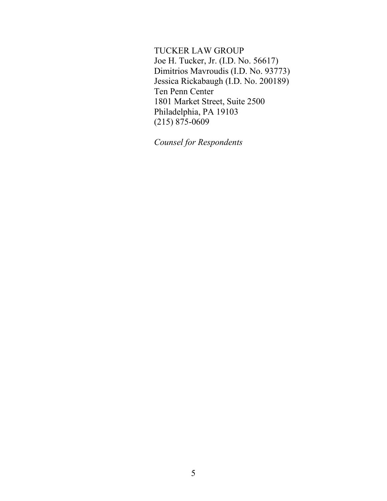TUCKER LAW GROUP Joe H. Tucker, Jr. (I.D. No. 56617) Dimitrios Mavroudis (I.D. No. 93773) Jessica Rickabaugh (I.D. No. 200189) Ten Penn Center 1801 Market Street, Suite 2500 Philadelphia, PA 19103 (215) 875-0609

*Counsel for Respondents*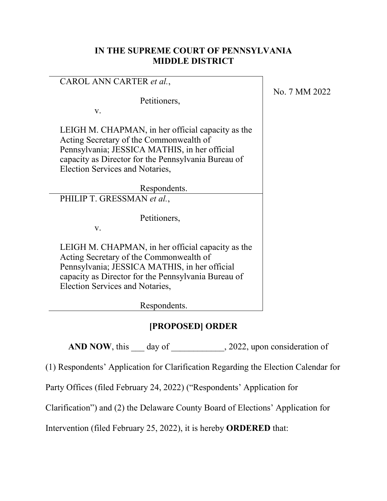#### **IN THE SUPREME COURT OF PENNSYLVANIA MIDDLE DISTRICT**

#### CAROL ANN CARTER *et al.*,

Petitioners,

v.

LEIGH M. CHAPMAN, in her official capacity as the Acting Secretary of the Commonwealth of Pennsylvania; JESSICA MATHIS, in her official capacity as Director for the Pennsylvania Bureau of Election Services and Notaries,

Respondents.

PHILIP T. GRESSMAN *et al.*,

Petitioners,

v.

LEIGH M. CHAPMAN, in her official capacity as the Acting Secretary of the Commonwealth of Pennsylvania; JESSICA MATHIS, in her official capacity as Director for the Pennsylvania Bureau of Election Services and Notaries,

Respondents.

# **[PROPOSED] ORDER**

**AND NOW**, this day of 2022, upon consideration of

(1) Respondents' Application for Clarification Regarding the Election Calendar for

Party Offices (filed February 24, 2022) ("Respondents' Application for

Clarification") and (2) the Delaware County Board of Elections' Application for

Intervention (filed February 25, 2022), it is hereby **ORDERED** that:

No. 7 MM 2022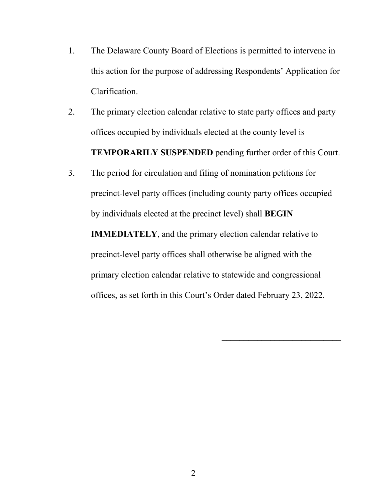- 1. The Delaware County Board of Elections is permitted to intervene in this action for the purpose of addressing Respondents' Application for Clarification.
- 2. The primary election calendar relative to state party offices and party offices occupied by individuals elected at the county level is **TEMPORARILY SUSPENDED** pending further order of this Court.
- 3. The period for circulation and filing of nomination petitions for precinct-level party offices (including county party offices occupied by individuals elected at the precinct level) shall **BEGIN**

**IMMEDIATELY**, and the primary election calendar relative to precinct-level party offices shall otherwise be aligned with the primary election calendar relative to statewide and congressional offices, as set forth in this Court's Order dated February 23, 2022.

\_\_\_\_\_\_\_\_\_\_\_\_\_\_\_\_\_\_\_\_\_\_\_\_\_\_\_